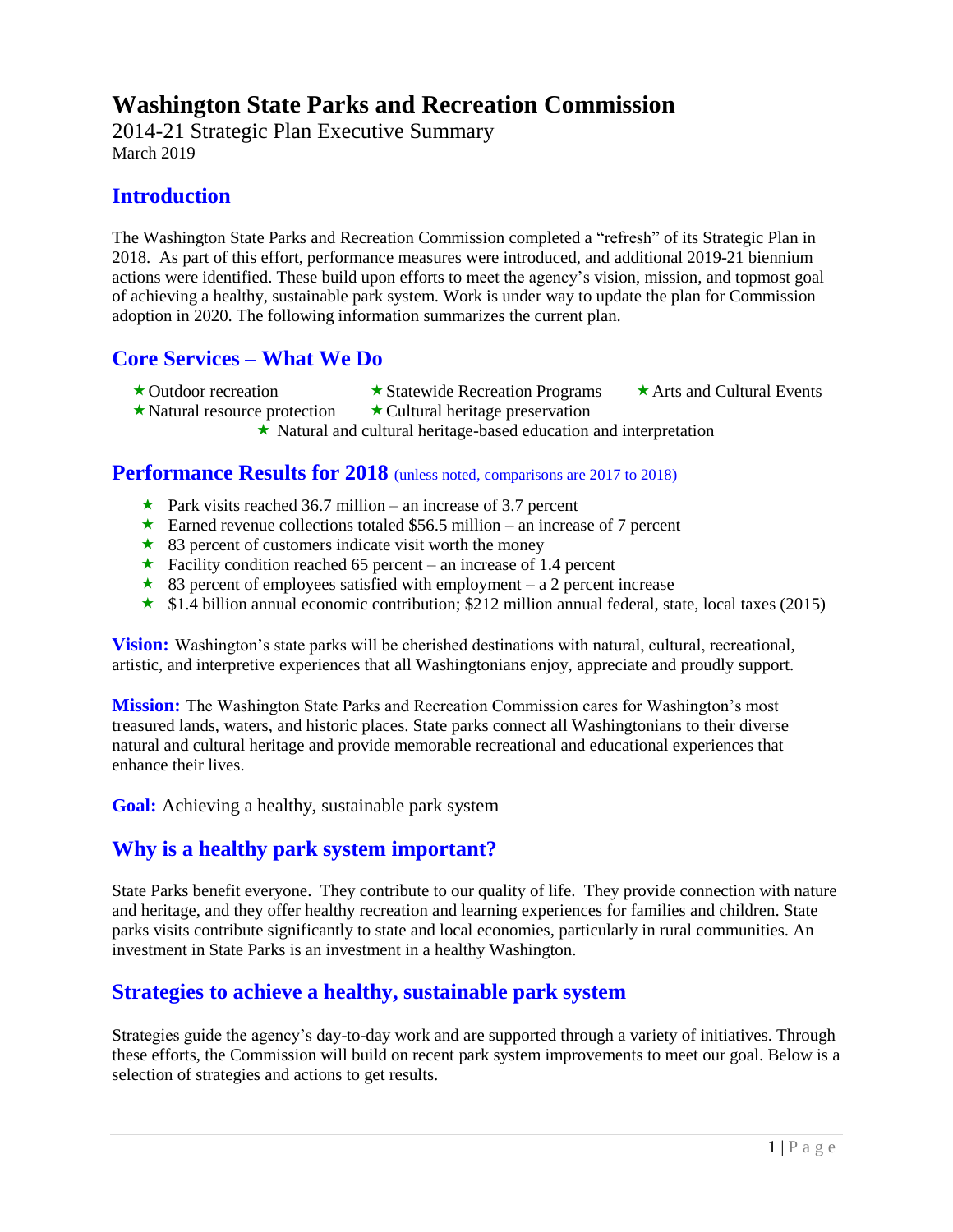# **Washington State Parks and Recreation Commission**

2014-21 Strategic Plan Executive Summary March 2019

## **Introduction**

The Washington State Parks and Recreation Commission completed a "refresh" of its Strategic Plan in 2018. As part of this effort, performance measures were introduced, and additional 2019-21 biennium actions were identified. These build upon efforts to meet the agency's vision, mission, and topmost goal of achieving a healthy, sustainable park system. Work is under way to update the plan for Commission adoption in 2020. The following information summarizes the current plan.

## **Core Services – What We Do**

- 
- 
- $\star$  Outdoor recreation  $\star$  Statewide Recreation Programs  $\star$  Arts and Cultural Events
	-
- $\star$  Natural resource protection  $\star$  Cultural heritage preservation

Natural and cultural heritage-based education and interpretation

### **Performance Results for 2018** (unless noted, comparisons are 2017 to 2018)

- $\star$  Park visits reached 36.7 million an increase of 3.7 percent
- Earned revenue collections totaled \$56.5 million an increase of 7 percent
- $\star$  83 percent of customers indicate visit worth the money
- $\star$  Facility condition reached 65 percent an increase of 1.4 percent
- $\star$  83 percent of employees satisfied with employment a 2 percent increase
- $\star$  \$1.4 billion annual economic contribution; \$212 million annual federal, state, local taxes (2015)

**Vision:** Washington's state parks will be cherished destinations with natural, cultural, recreational, artistic, and interpretive experiences that all Washingtonians enjoy, appreciate and proudly support.

**Mission:** The Washington State Parks and Recreation Commission cares for Washington's most treasured lands, waters, and historic places. State parks connect all Washingtonians to their diverse natural and cultural heritage and provide memorable recreational and educational experiences that enhance their lives.

**Goal:** Achieving a healthy, sustainable park system

### **Why is a healthy park system important?**

State Parks benefit everyone. They contribute to our quality of life. They provide connection with nature and heritage, and they offer healthy recreation and learning experiences for families and children. State parks visits contribute significantly to state and local economies, particularly in rural communities. An investment in State Parks is an investment in a healthy Washington.

### **Strategies to achieve a healthy, sustainable park system**

Strategies guide the agency's day-to-day work and are supported through a variety of initiatives. Through these efforts, the Commission will build on recent park system improvements to meet our goal. Below is a selection of strategies and actions to get results.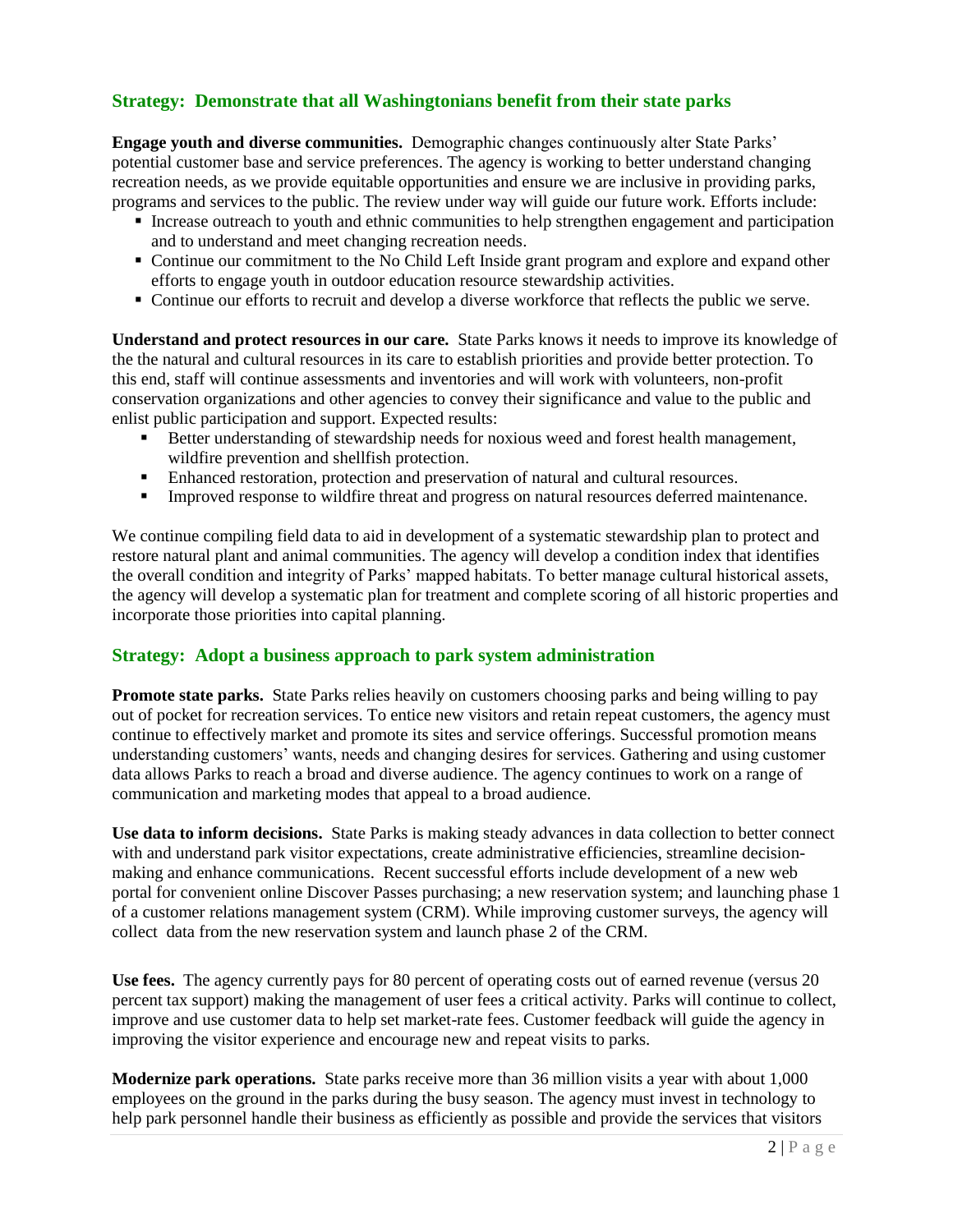#### **Strategy: Demonstrate that all Washingtonians benefit from their state parks**

**Engage youth and diverse communities.** Demographic changes continuously alter State Parks' potential customer base and service preferences. The agency is working to better understand changing recreation needs, as we provide equitable opportunities and ensure we are inclusive in providing parks, programs and services to the public. The review under way will guide our future work. Efforts include:

- Increase outreach to youth and ethnic communities to help strengthen engagement and participation and to understand and meet changing recreation needs.
- Continue our commitment to the No Child Left Inside grant program and explore and expand other efforts to engage youth in outdoor education resource stewardship activities.
- Continue our efforts to recruit and develop a diverse workforce that reflects the public we serve.

**Understand and protect resources in our care.** State Parks knows it needs to improve its knowledge of the the natural and cultural resources in its care to establish priorities and provide better protection. To this end, staff will continue assessments and inventories and will work with volunteers, non-profit conservation organizations and other agencies to convey their significance and value to the public and enlist public participation and support. Expected results:

- **EXECUTE:** Better understanding of stewardship needs for noxious weed and forest health management, wildfire prevention and shellfish protection.
- **Enhanced restoration, protection and preservation of natural and cultural resources.**
- **•** Improved response to wildfire threat and progress on natural resources deferred maintenance.

We continue compiling field data to aid in development of a systematic stewardship plan to protect and restore natural plant and animal communities. The agency will develop a condition index that identifies the overall condition and integrity of Parks' mapped habitats. To better manage cultural historical assets, the agency will develop a systematic plan for treatment and complete scoring of all historic properties and incorporate those priorities into capital planning.

#### **Strategy: Adopt a business approach to park system administration**

**Promote state parks.** State Parks relies heavily on customers choosing parks and being willing to pay out of pocket for recreation services. To entice new visitors and retain repeat customers, the agency must continue to effectively market and promote its sites and service offerings. Successful promotion means understanding customers' wants, needs and changing desires for services. Gathering and using customer data allows Parks to reach a broad and diverse audience. The agency continues to work on a range of communication and marketing modes that appeal to a broad audience.

**Use data to inform decisions.** State Parks is making steady advances in data collection to better connect with and understand park visitor expectations, create administrative efficiencies, streamline decisionmaking and enhance communications. Recent successful efforts include development of a new web portal for convenient online Discover Passes purchasing; a new reservation system; and launching phase 1 of a customer relations management system (CRM). While improving customer surveys, the agency will collect data from the new reservation system and launch phase 2 of the CRM.

**Use fees.** The agency currently pays for 80 percent of operating costs out of earned revenue (versus 20 percent tax support) making the management of user fees a critical activity. Parks will continue to collect, improve and use customer data to help set market-rate fees. Customer feedback will guide the agency in improving the visitor experience and encourage new and repeat visits to parks.

**Modernize park operations.** State parks receive more than 36 million visits a year with about 1,000 employees on the ground in the parks during the busy season. The agency must invest in technology to help park personnel handle their business as efficiently as possible and provide the services that visitors